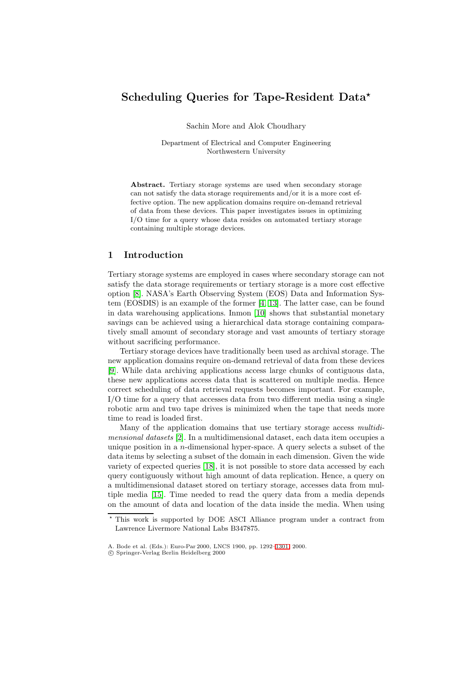# **Scheduling Queries for Tape-Resident Data**

Sachin More and Alok Choudhary

Department of Electrical and Computer Engineering Northwestern University

**Abstract.** Tertiary storage systems are used when secondary storage can not satisfy the data storage requirements and/or it is a more cost effective option. The new application domains require on-demand retrieval of data from these devices. This paper investigates issues in optimizing I/O time for a query whose data resides on automated tertiary storage containing multiple storage devices.

### **1 Introduction**

Tertiary storage systems are employed in cases where secondary storage can not satisfy the data storage requirements or tertiary storage is a more cost effective option [\[8\]](#page-8-0).NASA's Earth Observing System (EOS) Data and Information System (EOSDIS) is an example of the former [\[4,](#page-8-1) [13\]](#page-8-2).The latter case, can be found in data warehousing applications.Inmon [\[10\]](#page-8-3) shows that substantial monetary savings can be achieved using a hierarchical data storage containing comparatively small amount of secondary storage and vast amounts of tertiary storage without sacrificing performance.

Tertiary storage devices have traditionally been used as archival storage.The new application domains require on-demand retrieval of data from these devices [\[9\]](#page-8-4).While data archiving applications access large chunks of contiguous data, these new applications access data that is scattered on multiple media. Hence correct scheduling of data retrieval requests becomes important.For example, I/O time for a query that accesses data from two different media using a single robotic arm and two tape drives is minimized when the tape that needs more time to read is loaded first.

Many of the application domains that use tertiary storage access *multidimensional datasets* [\[2\]](#page-8-5).In a multidimensional dataset, each data item occupies a unique position in a *n*-dimensional hyper-space.A query selects a subset of the data items by selecting a subset of the domain in each dimension.Given the wide variety of expected queries [\[18\]](#page-9-0), it is not possible to store data accessed by each query contiguously without high amount of data replication.Hence, a query on a multidimensional dataset stored on tertiary storage, accesses data from multiple media [\[15\]](#page-9-1).Time needed to read the query data from a media depends on the amount of data and location of the data inside the media.When using

This work is supported by DOE ASCIAlliance program under a contract from Lawrence Livermore National Labs B347875.

A. Bode et al. (Eds.): Euro-Par 2000, LNCS 1900, pp. 1292[–1301,](#page-9-2) 2000.

c Springer-Verlag Berlin Heidelberg 2000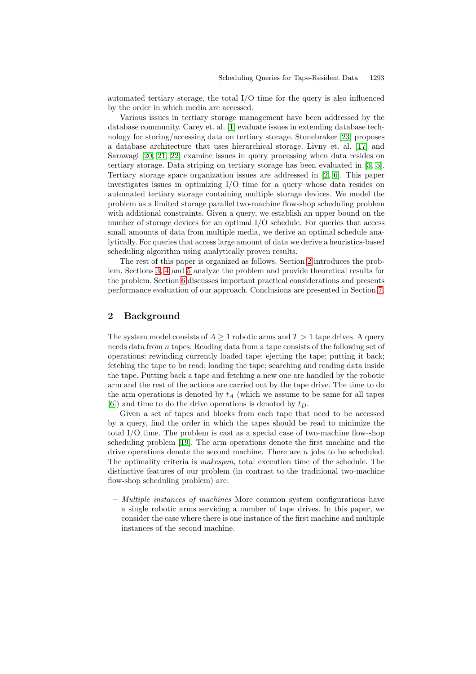automated tertiary storage, the total I/O time for the query is also influenced by the order in which media are accessed.

Various issues in tertiary storage management have been addressed by the database community. Carey et. al. [\[1\]](#page-7-0) evaluate issues in extending database tech-nology for storing/accessing data on tertiary storage. Stonebraker [\[23\]](#page-9-3) proposes a database architecture that uses hierarchical storage.Livny et.al.[\[17\]](#page-9-4) and Sarawagi [\[20,](#page-9-5) [21,](#page-9-6) [22\]](#page-9-7) examine issues in query processing when data resides on tertiary storage.Data striping on tertiary storage has been evaluated in [\[3,](#page-8-6) [5\]](#page-8-7). Tertiary storage space organization issues are addressed in  $[2, 6]$  $[2, 6]$ . This paper investigates issues in optimizing I/O time for a query whose data resides on automated tertiary storage containing multiple storage devices.We model the problem as a limited storage parallel two-machine flow-shop scheduling problem with additional constraints. Given a query, we establish an upper bound on the number of storage devices for an optimal  $I/O$  schedule. For queries that access small amounts of data from multiple media, we derive an optimal schedule analytically.For queries that access large amount of data we derive a heuristics-based scheduling algorithm using analytically proven results.

The rest of this paper is organized as follows. Section [2](#page-1-0) introduces the prob-lem. Sections [3,](#page-2-0) [4](#page-2-1) and [5](#page-3-0) analyze the problem and provide theoretical results for the problem. Section [6](#page-4-0) discusses important practical considerations and presents performance evaluation of our approach.Conclusions are presented in Section [7.](#page-7-1)

#### <span id="page-1-0"></span>**2 Background**

The system model consists of  $A \geq 1$  robotic arms and  $T > 1$  tape drives. A query needs data from *n* tapes. Reading data from a tape consists of the following set of operations: rewinding currently loaded tape; ejecting the tape; putting it back; fetching the tape to be read; loading the tape; searching and reading data inside the tape. Putting back a tape and fetching a new one are handled by the robotic arm and the rest of the actions are carried out by the tape drive.The time to do the arm operations is denoted by *t<sup>A</sup>* (which we assume to be same for all tapes [\[6\]](#page-8-8)) and time to do the drive operations is denoted by *tD*.

Given a set of tapes and blocks from each tape that need to be accessed by a query, find the order in which the tapes should be read to minimize the total I/O time.The problem is cast as a special case of two-machine flow-shop scheduling problem [\[19\]](#page-9-8). The arm operations denote the first machine and the drive operations denote the second machine.There are *n* jobs to be scheduled. The optimality criteria is *makespan*, total execution time of the schedule.The distinctive features of our problem (in contrast to the traditional two-machine flow-shop scheduling problem) are:

**–** *Multiple instances of machines* More common system configurations have a single robotic arms servicing a number of tape drives.In this paper, we consider the case where there is one instance of the first machine and multiple instances of the second machine.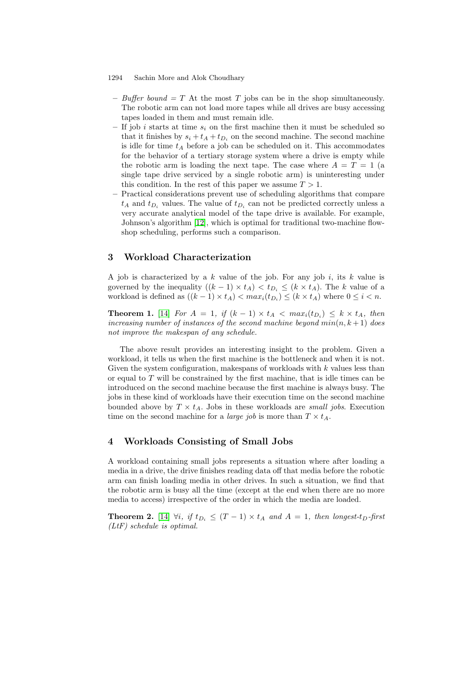- **–** *Buffer bound = T* At the most *T* jobs can be in the shop simultaneously. The robotic arm can not load more tapes while all drives are busy accessing tapes loaded in them and must remain idle.
- **–** If job *i* starts at time *s<sup>i</sup>* on the first machine then it must be scheduled so that it finishes by  $s_i + t_A + t_{D_i}$  on the second machine. The second machine is idle for time  $t_A$  before a job can be scheduled on it. This accommodates for the behavior of a tertiary storage system where a drive is empty while the robotic arm is loading the next tape. The case where  $A = T = 1$  (a single tape drive serviced by a single robotic arm) is uninteresting under this condition. In the rest of this paper we assume  $T > 1$ .
- **–** Practical considerations prevent use of scheduling algorithms that compare  $t_A$  and  $t_{D_i}$  values. The value of  $t_{D_i}$  can not be predicted correctly unless a very accurate analytical model of the tape drive is available.For example, Johnson's algorithm [\[12\]](#page-8-9), which is optimal for traditional two-machine flowshop scheduling, performs such a comparison.

# <span id="page-2-0"></span>**3 Workload Characterization**

A job is characterized by a *k* value of the job.For any job *i*, its *k* value is governed by the inequality  $((k-1) \times t_A) < t_{D_i} \leq (k \times t_A)$ . The *k* value of a workload is defined as  $((k-1) \times t_A) < max_i(t_B) \leq (k \times t_A)$  where  $0 \leq i \leq n$ .

**Theorem 1.** [\[14\]](#page-8-10) *For*  $A = 1$ , *if*  $(k-1) \times t_A < max_i(t_{D_i}) \leq k \times t_A$ , then *increasing number of instances of the second machine beyond*  $min(n, k + 1)$  *does not improve the makespan of any schedule.*

The above result provides an interesting insight to the problem.Given a workload, it tells us when the first machine is the bottleneck and when it is not. Given the system configuration, makespans of workloads with *k* values less than or equal to *T* will be constrained by the first machine, that is idle times can be introduced on the second machine because the first machine is always busy.The jobs in these kind of workloads have their execution time on the second machine bounded above by  $T \times t_A$ . Jobs in these workloads are *small jobs*. Execution time on the second machine for a *large job* is more than  $T \times t_A$ .

# <span id="page-2-1"></span>**4 Workloads Consisting of Small Jobs**

A workload containing small jobs represents a situation where after loading a media in a drive, the drive finishes reading data off that media before the robotic arm can finish loading media in other drives.In such a situation, we find that the robotic arm is busy all the time (except at the end when there are no more media to access) irrespective of the order in which the media are loaded.

**Theorem 2.** [\[14\]](#page-8-10)  $\forall i$ , if  $t_{D_i} \leq (T-1) \times t_A$  and  $A = 1$ , then longest-t<sub>D</sub>-first *(LtF) schedule is optimal.*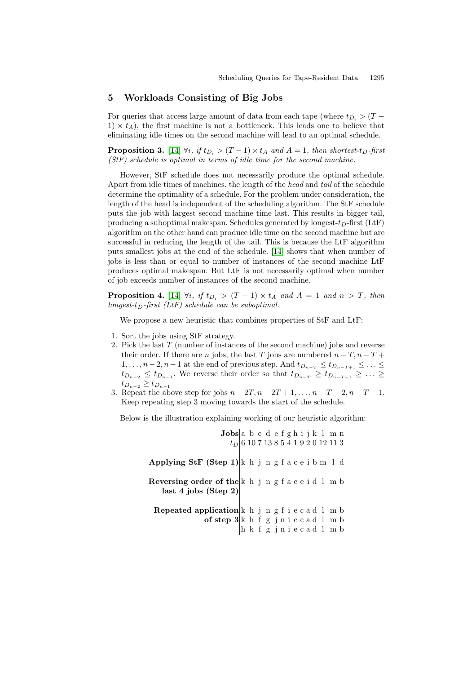### <span id="page-3-0"></span>**5 Workloads Consisting of Big Jobs**

For queries that access large amount of data from each tape (where  $t_{D_i}$  > (T –  $1 \times t_A$ , the first machine is not a bottleneck. This leads one to believe that eliminating idle times on the second machine will lead to an optimal schedule.

**Proposition 3.** [\[14\]](#page-8-10)  $\forall i$ *, if*  $t_{D_i} > (T-1) \times t_A$  *and*  $A = 1$ *, then shortest-t<sub>D</sub></sub>-first (StF) schedule is optimal in terms of idle time for the second machine.*

However, StF schedule does not necessarily produce the optimal schedule. Apart from idle times of machines, the length of the *head* and *tail* of the schedule determine the optimality of a schedule. For the problem under consideration, the length of the head is independent of the scheduling algorithm. The StF schedule puts the job with largest second machine time last.This results in bigger tail, producing a suboptimal makespan. Schedules generated by longest- $t<sub>D</sub>$ -first (LtF) algorithm on the other hand can produce idle time on the second machine but are successful in reducing the length of the tail.This is because the LtF algorithm puts smallest jobs at the end of the schedule.[\[14\]](#page-8-10) shows that when number of jobs is less than or equal to number of instances of the second machine LtF produces optimal makespan.But LtF is not necessarily optimal when number of job exceeds number of instances of the second machine.

**Proposition 4.** [\[14\]](#page-8-10)  $\forall i$ , if  $t_{D_i} > (T-1) \times t_A$  and  $A = 1$  and  $n > T$ , then *longest-tD-first (LtF) schedule can be suboptimal.*

We propose a new heuristic that combines properties of StF and LtF:

- 1.Sort the jobs using StF strategy.
- 2. Pick the last *T* (number of instances of the second machine) jobs and reverse their order. If there are *n* jobs, the last *T* jobs are numbered  $n - T$ ,  $n - T + T$ 1,..., *n*−2, *n*−1 at the end of previous step. And  $t_{D_{n-T}}$  ≤  $t_{D_{n-T+1}}$  ≤ ... ≤ *t*<sub>*D*<sup>*n*</sup><sup>−2</sup> ≤ *t*<sub>*D*<sup>*n*</sup><sup>−1</sup>. We reverse their order so that  $t_{D_{n-T}} \geq t_{D_{n-T+1}} \geq \ldots \geq$ </sub></sub> *t<sup>D</sup>n−*<sup>2</sup> ≥ *t<sup>D</sup>n−*<sup>1</sup>
- 3. Repeat the above step for jobs  $n 2T, n 2T + 1, \ldots, n T 2, n T 1$ . Keep repeating step 3 moving towards the start of the schedule.

Below is the illustration explaining working of our heuristic algorithm:

| Jobs                                               | a b c d e f g h i j k l m n     |
|----------------------------------------------------|---------------------------------|
| $t_D$                                              | 6 10 7 13 8 5 4 1 9 2 0 12 11 3 |
| Applying StF (Step 1)                              | k h j n g f a c e i b m l d     |
| Reversing order of the k h j n g f a c e i d l m b |                                 |
| last 4 jobs (Step 2)                               |                                 |
| Repeated application                               | k h j n g f i e c a d l m b     |
| of step 3 k h f g j n i e c a d l m b              |                                 |
| h k f g j n i e c a d l m b                        |                                 |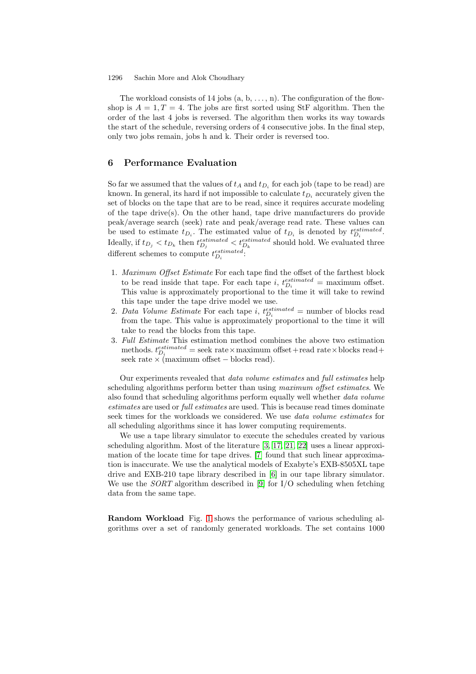The workload consists of 14 jobs  $(a, b, \ldots, n)$ . The configuration of the flowshop is  $A = 1, T = 4$ . The jobs are first sorted using StF algorithm. Then the order of the last 4 jobs is reversed.The algorithm then works its way towards the start of the schedule, reversing orders of 4 consecutive jobs.In the final step, only two jobs remain, jobs h and k.Their order is reversed too.

#### <span id="page-4-0"></span>**6 Performance Evaluation**

So far we assumed that the values of  $t_A$  and  $t_{D_i}$  for each job (tape to be read) are known. In general, its hard if not impossible to calculate  $t_{D_i}$  accurately given the set of blocks on the tape that are to be read, since it requires accurate modeling of the tape drive(s). On the other hand, tape drive manufacturers do provide peak/average search (seek) rate and peak/average read rate.These values can be used to estimate  $t_{D_i}$ . The estimated value of  $t_{D_i}$  is denoted by  $t_{D_i}^{estimated}$ . Ideally, if  $t_{D_j} < t_{D_k}$  then  $t_{D_j}^{estimated} < t_{D_k}^{estimated}$  should hold. We evaluated three different schemes to compute  $t_{D_i}^{estimated}$ .

- 1. *Maximum Offset Estimate* For each tape find the offset of the farthest block to be read inside that tape. For each tape *i*,  $t_{D_i}^{estimated}$  = maximum offset. This value is approximately proportional to the time it will take to rewind this tape under the tape drive model we use.
- 2. *Data Volume Estimate* For each tape *i*,  $t_{D_i}^{estimated} =$  number of blocks read from the tape.This value is approximately proportional to the time it will take to read the blocks from this tape.
- 3. *Full Estimate* This estimation method combines the above two estimation methods.  $t_{D_i}^{estimated} =$  seek rate  $\times$  maximum offset + read rate  $\times$  blocks read + seek rate  $\times$  (maximum offset – blocks read).

Our experiments revealed that *data volume estimates* and *full estimates* help scheduling algorithms perform better than using *maximum offset estimates*.We also found that scheduling algorithms perform equally well whether *data volume estimates* are used or *full estimates* are used.This is because read times dominate seek times for the workloads we considered.We use *data volume estimates* for all scheduling algorithms since it has lower computing requirements.

We use a tape library simulator to execute the schedules created by various scheduling algorithm. Most of the literature  $[3, 17, 21, 22]$  $[3, 17, 21, 22]$  $[3, 17, 21, 22]$  $[3, 17, 21, 22]$  uses a linear approximation of the locate time for tape drives.[\[7\]](#page-8-11) found that such linear approximation is inaccurate.We use the analytical models of Exabyte's EXB-8505XL tape drive and EXB-210 tape library described in [\[6\]](#page-8-8) in our tape library simulator. We use the *SORT* algorithm described in [\[9\]](#page-8-4) for I/O scheduling when fetching data from the same tape.

**Random Workload** Fig. [1](#page-5-0) shows the performance of various scheduling algorithms over a set of randomly generated workloads.The set contains 1000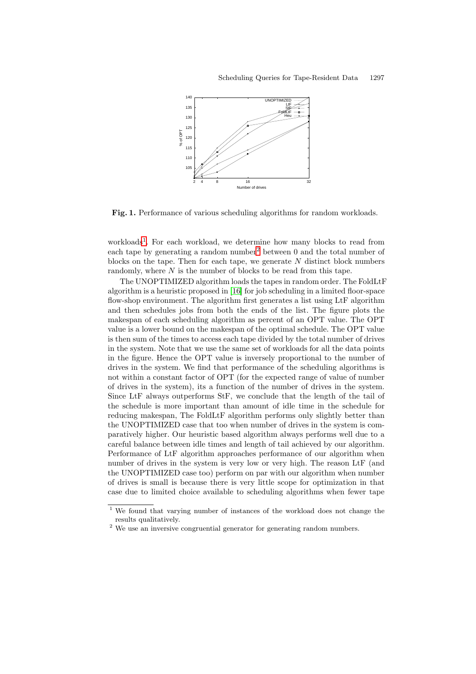

<span id="page-5-0"></span>**Fig. 1.** Performance of various scheduling algorithms for random workloads.

workloads<sup>[1](#page-5-1)</sup>. For each workload, we determine how many blocks to read from each tape by generating a random number<sup>[2](#page-5-2)</sup> between 0 and the total number of blocks on the tape.Then for each tape, we generate *N* distinct block numbers randomly, where *N* is the number of blocks to be read from this tape.

The UNOPTIMIZED algorithm loads the tapes in random order.The FoldLtF algorithm is a heuristic proposed in [\[16\]](#page-9-9) for job scheduling in a limited floor-space flow-shop environment.The algorithm first generates a list using LtF algorithm and then schedules jobs from both the ends of the list.The figure plots the makespan of each scheduling algorithm as percent of an OPT value.The OPT value is a lower bound on the makespan of the optimal schedule.The OPT value is then sum of the times to access each tape divided by the total number of drives in the system.Note that we use the same set of workloads for all the data points in the figure.Hence the OPT value is inversely proportional to the number of drives in the system.We find that performance of the scheduling algorithms is not within a constant factor of OPT (for the expected range of value of number of drives in the system), its a function of the number of drives in the system. Since LtF always outperforms StF, we conclude that the length of the tail of the schedule is more important than amount of idle time in the schedule for reducing makespan, The FoldLtF algorithm performs only slightly better than the UNOPTIMIZED case that too when number of drives in the system is comparatively higher.Our heuristic based algorithm always performs well due to a careful balance between idle times and length of tail achieved by our algorithm. Performance of LtF algorithm approaches performance of our algorithm when number of drives in the system is very low or very high. The reason LtF (and the UNOPTIMIZED case too) perform on par with our algorithm when number of drives is small is because there is very little scope for optimization in that case due to limited choice available to scheduling algorithms when fewer tape

<span id="page-5-1"></span>We found that varying number of instances of the workload does not change the results qualitatively.

<span id="page-5-2"></span><sup>2</sup> We use an inversive congruential generator for generating random numbers.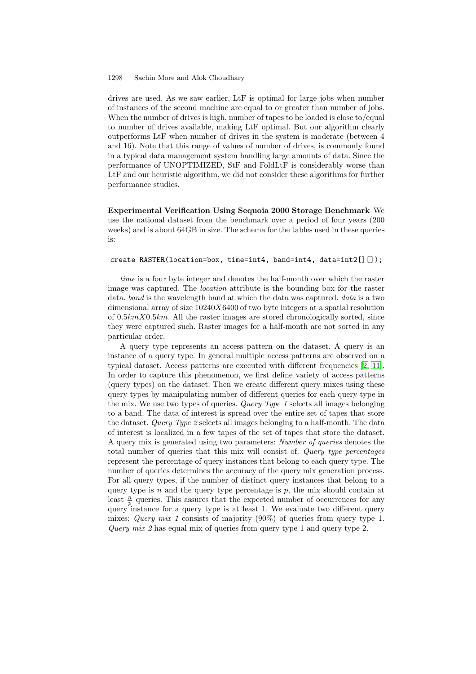drives are used.As we saw earlier, LtF is optimal for large jobs when number of instances of the second machine are equal to or greater than number of jobs. When the number of drives is high, number of tapes to be loaded is close to/equal to number of drives available, making LtF optimal.But our algorithm clearly outperforms LtF when number of drives in the system is moderate (between 4 and 16). Note that this range of values of number of drives, is commonly found in a typical data management system handling large amounts of data.Since the performance of UNOPTIMIZED, StF and FoldLtF is considerably worse than LtF and our heuristic algorithm, we did not consider these algorithms for further performance studies.

**Experimental Verification Using Sequoia 2000 Storage Benchmark** We use the national dataset from the benchmark over a period of four years (200 weeks) and is about 64GB in size. The schema for the tables used in these queries is:

#### create RASTER(location=box, time=int4, band=int4, data=int2[][]);

*time* is a four byte integer and denotes the half-month over which the raster image was captured.The *location* attribute is the bounding box for the raster data. *band* is the wavelength band at which the data was captured. *data* is a two dimensional array of size 10240*X*6400 of two byte integers at a spatial resolution of 0*.*5*kmX*0*.*5*km*.All the raster images are stored chronologically sorted, since they were captured such.Raster images for a half-month are not sorted in any particular order.

A query type represents an access pattern on the dataset.A query is an instance of a query type.In general multiple access patterns are observed on a typical dataset. Access patterns are executed with different frequencies [\[2,](#page-8-5) [11\]](#page-8-12). In order to capture this phenomenon, we first define variety of access patterns (query types) on the dataset.Then we create different query mixes using these query types by manipulating number of different queries for each query type in the mix.We use two types of queries. *Query Type 1* selects all images belonging to a band.The data of interest is spread over the entire set of tapes that store the dataset. *Query Type 2* selects all images belonging to a half-month.The data of interest is localized in a few tapes of the set of tapes that store the dataset. A query mix is generated using two parameters: *Number of queries* denotes the total number of queries that this mix will consist of. *Query type percentages* represent the percentage of query instances that belong to each query type.The number of queries determines the accuracy of the query mix generation process. For all query types, if the number of distinct query instances that belong to a query type is *n* and the query type percentage is *p*, the mix should contain at least  $\frac{n}{p}$  queries. This assures that the expected number of occurrences for any query instance for a query type is at least 1.We evaluate two different query mixes: *Query mix 1* consists of majority (90%) of queries from query type 1. *Query mix 2* has equal mix of queries from query type 1 and query type 2.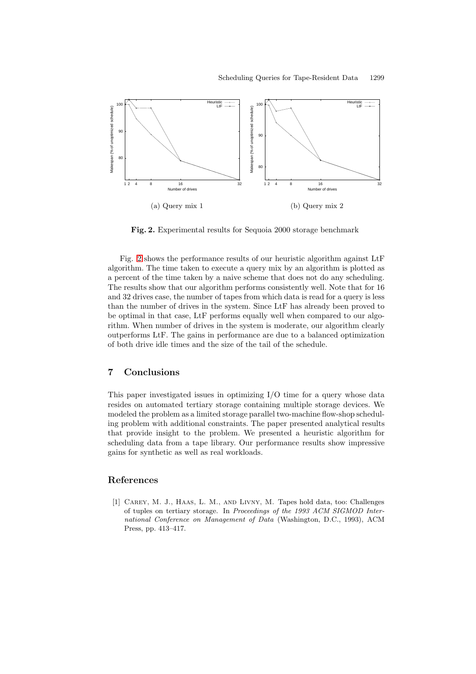

**Fig. 2.** Experimental results for Sequoia 2000 storage benchmark

<span id="page-7-2"></span>Fig.[2](#page-7-2) shows the performance results of our heuristic algorithm against LtF algorithm.The time taken to execute a query mix by an algorithm is plotted as a percent of the time taken by a naive scheme that does not do any scheduling. The results show that our algorithm performs consistently well. Note that for 16 and 32 drives case, the number of tapes from which data is read for a query is less than the number of drives in the system.Since LtF has already been proved to be optimal in that case, LtF performs equally well when compared to our algorithm.When number of drives in the system is moderate, our algorithm clearly outperforms LtF.The gains in performance are due to a balanced optimization of both drive idle times and the size of the tail of the schedule.

#### <span id="page-7-1"></span>**7 Conclusions**

This paper investigated issues in optimizing I/O time for a query whose data resides on automated tertiary storage containing multiple storage devices.We modeled the problem as a limited storage parallel two-machine flow-shop scheduling problem with additional constraints.The paper presented analytical results that provide insight to the problem.We presented a heuristic algorithm for scheduling data from a tape library.Our performance results show impressive gains for synthetic as well as real workloads.

## <span id="page-7-0"></span>**References**

[1] Carey, M. J., Haas, L. M., and Livny, M. Tapes hold data, too: Challenges of tuples on tertiary storage. In *Proceedings of the 1993 ACM SIGMOD International Conference on Management of Data* (Washington, D.C., 1993), ACM Press, pp. 413–417.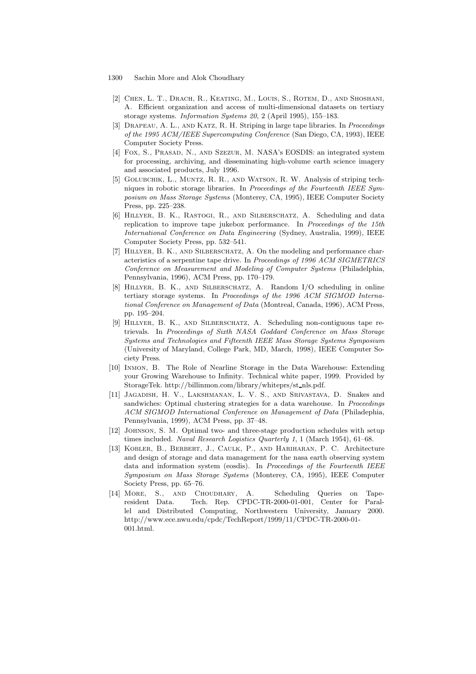- <span id="page-8-5"></span>[2] Chen, L. T., Drach, R., Keating, M., Louis, S., Rotem, D., and Shoshani, A. Efficient organization and access of multi-dimensional datasets on tertiary storage systems. *Information Systems 20*, 2 (April 1995), 155–183.
- <span id="page-8-6"></span>[3] Drapeau, A. L., and Katz, R. H. Striping in large tape libraries. In *Proceedings of the 1995 ACM/IEEE Supercomputing Conference* (San Diego, CA, 1993), IEEE Computer Society Press.
- <span id="page-8-1"></span>[4] Fox, S., Prasad, N., and Szezur, M. NASA's EOSDIS: an integrated system for processing, archiving, and disseminating high-volume earth science imagery and associated products, July 1996.
- <span id="page-8-7"></span>[5] Golubchik, L., Muntz, R. R., and Watson, R. W. Analysis of striping techniques in robotic storage libraries. In *Proceedings of the Fourteenth IEEE Symposium on Mass Storage Systems* (Monterey, CA, 1995), IEEE Computer Society Press, pp. 225–238.
- <span id="page-8-8"></span>[6] Hillyer, B. K., Rastogi, R., and Silberschatz, A. Scheduling and data replication to improve tape jukebox performance. In *Proceedings of the 15th International Conference on Data Engineering* (Sydney, Australia, 1999), IEEE Computer Society Press, pp. 532–541.
- <span id="page-8-11"></span>[7] Hillyer, B. K., and Silberschatz, A. On the modeling and performance characteristics of a serpentine tape drive. In *Proceedings of 1996 ACM SIGMETRICS Conference on Measurement and Modeling of Computer Systems* (Philadelphia, Pennsylvania, 1996), ACM Press, pp. 170–179.
- <span id="page-8-0"></span>[8] Hillyer, B. K., and Silberschatz, A. Random I/O scheduling in online tertiary storage systems. In *Proceedings of the 1996 ACM SIGMOD International Conference on Management of Data* (Montreal, Canada, 1996), ACM Press, pp. 195–204.
- <span id="page-8-4"></span>[9] Hillyer, B. K., and Silberschatz, A. Scheduling non-contiguous tape retrievals. In *Proceedings of Sixth NASA Goddard Conference on Mass Storage Systems and Technologies and Fifteenth IEEE Mass Storage Systems Symposium* (University of Maryland, College Park, MD, March, 1998), IEEE Computer Society Press.
- <span id="page-8-3"></span>[10] Inmon, B. The Role of Nearline Storage in the Data Warehouse: Extending your Growing Warehouse to Infinity. Technical white paper, 1999. Provided by StorageTek. http://billinmon.com/library/whiteprs/st nls.pdf.
- <span id="page-8-12"></span>[11] Jagadish, H. V., Lakshmanan, L. V. S., and Srivastava, D. Snakes and sandwiches: Optimal clustering strategies for a data warehouse. In *Proceedings ACM SIGMOD International Conference on Management of Data* (Philadephia, Pennsylvania, 1999), ACM Press, pp. 37–48.
- <span id="page-8-9"></span>[12] Johnson, S. M. Optimal two- and three-stage production schedules with setup times included. *Naval Research Logistics Quarterly 1*, 1 (March 1954), 61–68.
- <span id="page-8-2"></span>[13] Kobler, B., Berbert, J., Caulk, P., and Hariharan, P. C. Architecture and design of storage and data management for the nasa earth observing system data and information system (eosdis). In *Proceedings of the Fourteenth IEEE Symposium on Mass Storage Systems* (Monterey, CA, 1995), IEEE Computer Society Press, pp. 65–76.
- <span id="page-8-10"></span>[14] More, S., and Choudhary, A. Scheduling Queries on Taperesident Data. Tech. Rep. CPDC-TR-2000-01-001, Center for Parallel and Distributed Computing, Northwestern University, January 2000. http://www.ece.nwu.edu/cpdc/TechReport/1999/11/CPDC-TR-2000-01- 001.html.